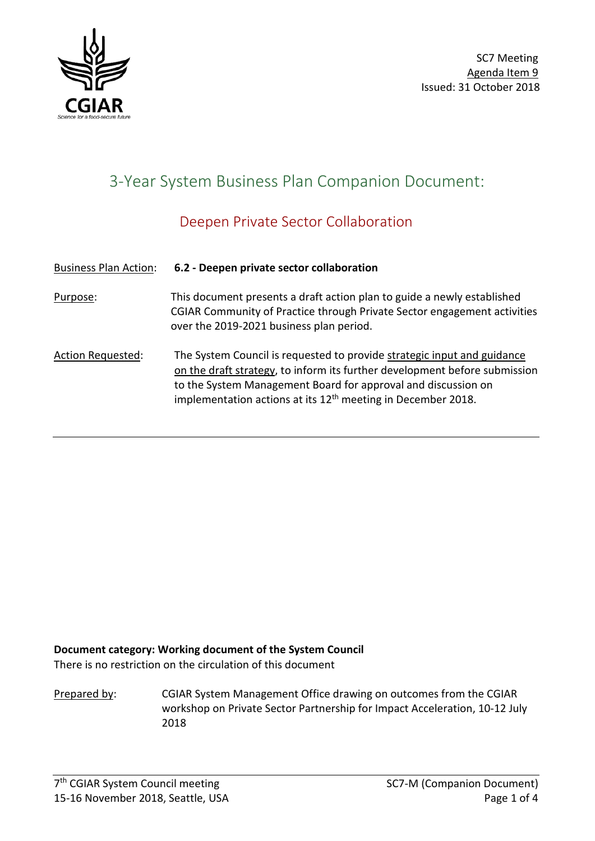

# 3-Year System Business Plan Companion Document:

# Deepen Private Sector Collaboration

#### Business Plan Action: **6.2 - Deepen private sector collaboration**

Purpose: This document presents a draft action plan to guide a newly established CGIAR Community of Practice through Private Sector engagement activities over the 2019-2021 business plan period.

Action Requested: The System Council is requested to provide strategic input and guidance on the draft strategy, to inform its further development before submission to the System Management Board for approval and discussion on implementation actions at its  $12<sup>th</sup>$  meeting in December 2018.

### **Document category: Working document of the System Council**

There is no restriction on the circulation of this document

Prepared by: CGIAR System Management Office drawing on outcomes from the CGIAR workshop on Private Sector Partnership for Impact Acceleration, 10-12 July 2018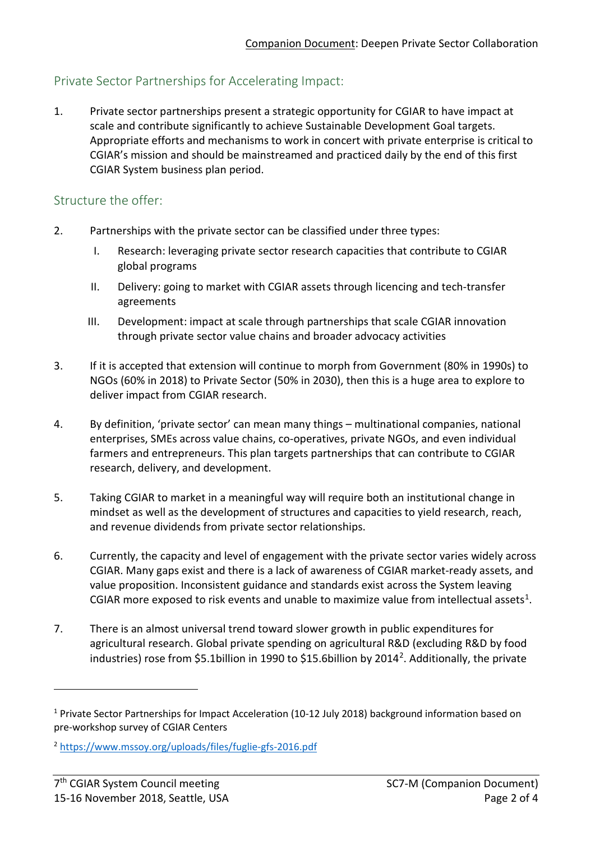# Private Sector Partnerships for Accelerating Impact:

1. Private sector partnerships present a strategic opportunity for CGIAR to have impact at scale and contribute significantly to achieve Sustainable Development Goal targets. Appropriate efforts and mechanisms to work in concert with private enterprise is critical to CGIAR's mission and should be mainstreamed and practiced daily by the end of this first CGIAR System business plan period.

#### Structure the offer:

- 2. Partnerships with the private sector can be classified under three types:
	- I. Research: leveraging private sector research capacities that contribute to CGIAR global programs
	- II. Delivery: going to market with CGIAR assets through licencing and tech-transfer agreements
	- III. Development: impact at scale through partnerships that scale CGIAR innovation through private sector value chains and broader advocacy activities
- 3. If it is accepted that extension will continue to morph from Government (80% in 1990s) to NGOs (60% in 2018) to Private Sector (50% in 2030), then this is a huge area to explore to deliver impact from CGIAR research.
- 4. By definition, 'private sector' can mean many things multinational companies, national enterprises, SMEs across value chains, co-operatives, private NGOs, and even individual farmers and entrepreneurs. This plan targets partnerships that can contribute to CGIAR research, delivery, and development.
- 5. Taking CGIAR to market in a meaningful way will require both an institutional change in mindset as well as the development of structures and capacities to yield research, reach, and revenue dividends from private sector relationships.
- 6. Currently, the capacity and level of engagement with the private sector varies widely across CGIAR. Many gaps exist and there is a lack of awareness of CGIAR market-ready assets, and value proposition. Inconsistent guidance and standards exist across the System leaving CGIAR more exposed to risk events and unable to maximize value from intellectual assets<sup>1</sup>.
- 7. There is an almost universal trend toward slower growth in public expenditures for agricultural research. Global private spending on agricultural R&D (excluding R&D by food industries) rose from \$5.1billion in 1990 to \$15.6billion by 2014[2.](#page-1-1) Additionally, the private

-

<span id="page-1-0"></span><sup>1</sup> Private Sector Partnerships for Impact Acceleration (10-12 July 2018) background information based on pre-workshop survey of CGIAR Centers

<span id="page-1-1"></span><sup>2</sup> <https://www.mssoy.org/uploads/files/fuglie-gfs-2016.pdf>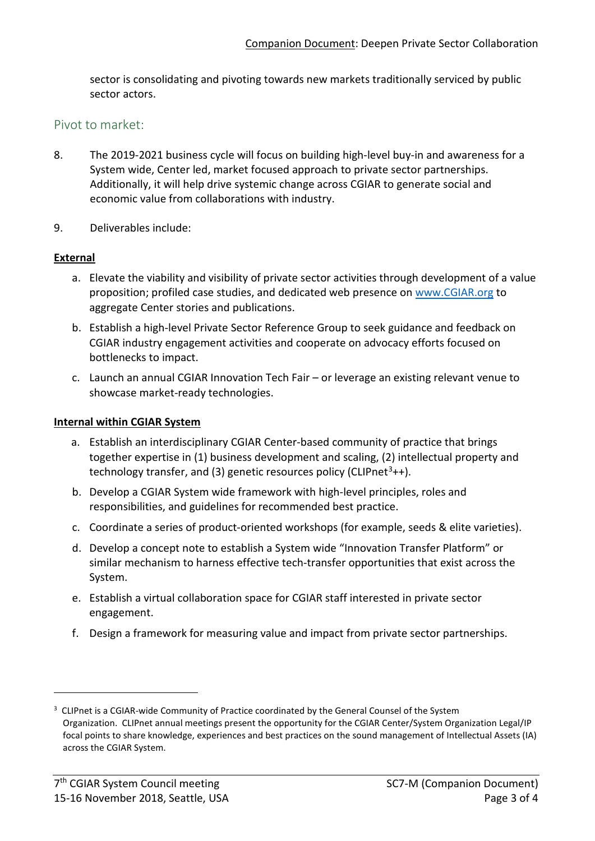sector is consolidating and pivoting towards new markets traditionally serviced by public sector actors.

#### Pivot to market:

- 8. The 2019-2021 business cycle will focus on building high-level buy-in and awareness for a System wide, Center led, market focused approach to private sector partnerships. Additionally, it will help drive systemic change across CGIAR to generate social and economic value from collaborations with industry.
- 9. Deliverables include:

#### **External**

- a. Elevate the viability and visibility of private sector activities through development of a value proposition; profiled case studies, and dedicated web presence on [www.CGIAR.org](http://www.cgiar.org/) to aggregate Center stories and publications.
- b. Establish a high-level Private Sector Reference Group to seek guidance and feedback on CGIAR industry engagement activities and cooperate on advocacy efforts focused on bottlenecks to impact.
- c. Launch an annual CGIAR Innovation Tech Fair or leverage an existing relevant venue to showcase market-ready technologies.

#### **Internal within CGIAR System**

- a. Establish an interdisciplinary CGIAR Center-based community of practice that brings together expertise in (1) business development and scaling, (2) intellectual property and technology transfer, and ([3](#page-2-0)) genetic resources policy (CLIPnet<sup>3</sup>++).
- b. Develop a CGIAR System wide framework with high-level principles, roles and responsibilities, and guidelines for recommended best practice.
- c. Coordinate a series of product-oriented workshops (for example, seeds & elite varieties).
- d. Develop a concept note to establish a System wide "Innovation Transfer Platform" or similar mechanism to harness effective tech-transfer opportunities that exist across the System.
- e. Establish a virtual collaboration space for CGIAR staff interested in private sector engagement.
- f. Design a framework for measuring value and impact from private sector partnerships.

1

<span id="page-2-0"></span><sup>&</sup>lt;sup>3</sup> CLIPnet is a CGIAR-wide Community of Practice coordinated by the General Counsel of the System Organization. CLIPnet annual meetings present the opportunity for the CGIAR Center/System Organization Legal/IP focal points to share knowledge, experiences and best practices on the sound management of Intellectual Assets (IA) across the CGIAR System.